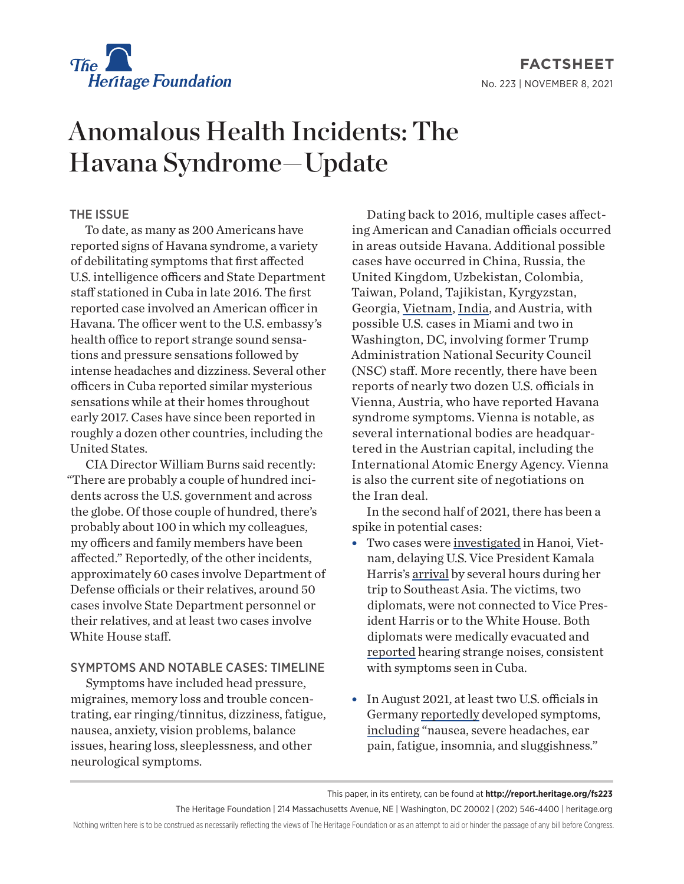

**FACTSHEET** No. 223 | November 8, 2021

# Anomalous Health Incidents: The Havana Syndrome—Update

## THE ISSUE

To date, as many as [200](https://nymag.com/intelligencer/article/what-is-havana-syndrome-symptoms-causes.html) Americans have reported signs of Havana syndrome, a variety of [debilitating symptoms](https://www.medicinenet.com/what_is_havana_syndrome/article.htm) that first affected U.S. intelligence officers and State Department staff stationed in Cuba in late 2016. The first reported [case](https://www.washingtonpost.com/world/2018/12/03/another-diplomat-was-diagnosed-with-havana-syndrome-heres-what-we-know/) involved an American officer in Havana. The officer went to the U.S. embassy's health office to [report](https://www.newyorker.com/magazine/2018/11/19/the-mystery-of-the-havana-syndrome) strange sound sensations and pressure sensations followed by intense headaches and dizziness. [Several](https://www.newyorker.com/magazine/2018/11/19/the-mystery-of-the-havana-syndrome) other officers in Cuba reported similar mysterious sensations while at their homes throughout early 2017. Cases have since been reported in roughly a dozen other countries, including the United States.

CIA Director William Burns [said](https://www.npr.org/2021/07/22/1017900583/transcript-nprs-full-conversation-with-cia-director-william-burns) recently: "There are probably a couple of hundred incidents across the U.S. government and across the globe. Of those couple of hundred, there's probably about 100 in which my colleagues, my officers and family members have been affected." Reportedly, of the other incidents, approximately 60 cases involve Department of Defense officials or their relatives, around 50 cases involve State Department personnel or their relatives, and at least two cases involve White House staff.

### SYMPTOMS AND NOTABLE CASES: TIMELINE

Symptoms have [included](https://www.wsj.com/articles/havana-syndrome-symptoms-11626882951) head pressure, migraines, memory loss and trouble concentrating, ear ringing/tinnitus, dizziness, fatigue, nausea, anxiety, vision problems, balance issues, hearing loss, sleeplessness, and other neurological symptoms.

Dating back to 2016, [multiple](https://www.wsj.com/articles/havana-syndrome-symptoms-11626882951) cases affecting American and Canadian officials occurred in areas outside Havana. Additional possible cases have occurred in [China](https://www.wsj.com/articles/u-s-government-worker-in-china-suffers-mysterious-brain-trauma-1527078217?mod=article_inline), [Russia](https://www.gq.com/story/cia-investigation-and-russian-microwave-attacks), the [United Kingdom,](https://nymag.com/intelligencer/article/what-is-havana-syndrome-symptoms-causes.html) [Uzbekistan](https://nymag.com/intelligencer/article/what-is-havana-syndrome-symptoms-causes.html), [Colombia](https://nymag.com/intelligencer/article/what-is-havana-syndrome-symptoms-causes.html), [Taiwan](https://www.gq.com/story/cia-investigation-and-russian-microwave-attacks), [Poland](https://nymag.com/intelligencer/article/what-is-havana-syndrome-symptoms-causes.html), [Tajikistan](https://www.cnn.com/2021/07/23/politics/havana-syndrome-cia-inspector-general/index.html), [Kyrgyzstan,](https://www.nbcnews.com/politics/national-security/many-200-americans-have-now-reported-possible-symptoms-havana-syndrome-n1274385) [Georgia,](https://nymag.com/intelligencer/article/what-is-havana-syndrome-symptoms-causes.html) [Vietnam,](https://www.nbcnews.com/politics/politics-news/two-u-s-diplomats-be-evacuated-vietnam-after-havana-syndrome-n1277539) [India,](https://www.cnn.com/2021/09/20/politics/cia-director-havana-syndrome-india-trip/index.html) and [Austria](https://www.newyorker.com/news/news-desk/vienna-is-the-new-havana-syndrome-hotspot), with possible U.S. cases in [Miami](https://www.politico.com/news/2021/04/29/directed-energy-attack-probe-485086) and two in [Washington, DC,](https://www.cnn.com/2021/05/17/politics/us-investigates-second-case-mystery-syndrome-white-house/index.html) involving former Trump Administration National Security Council (NSC) staff. More recently, there have been [reports](https://www.newyorker.com/news/news-desk/vienna-is-the-new-havana-syndrome-hotspot) of nearly two dozen U.S. officials in Vienna, Austria, who have reported Havana syndrome symptoms. Vienna is notable, as several international bodies are headquartered in the Austrian capital, including the International Atomic Energy Agency. Vienna is also the current site of negotiations on the Iran deal.

In the second half of 2021, there has been a spike in potential cases:

- Two cases were [investigated](https://apnews.com/article/havana-vietnam-86a12de5be0f755406ef19522f11b2b0) in Hanoi, Vietnam, delaying U.S. Vice President Kamala Harris's [arrival](https://www.theguardian.com/us-news/2021/aug/25/kamala-harris-us-officials-havana-syndrome-vietnam-delay) by several hours during her trip to Southeast Asia. The victims, two diplomats, were not connected to Vice President Harris or to the White House. Both diplomats were medically evacuated and [reported](https://www.nbcnews.com/politics/politics-news/two-u-s-diplomats-be-evacuated-vietnam-after-havana-syndrome-n1277539) hearing strange noises, consistent with symptoms seen in Cuba.
- In August 2021, at least two U.S. officials in Germany [reportedly](https://www.wsj.com/articles/u-s-officials-in-germany-hit-by-havana-syndrome-11629279001) developed symptoms, [including](https://www.wsj.com/articles/u-s-officials-in-germany-hit-by-havana-syndrome-11629279001) "nausea, severe headaches, ear pain, fatigue, insomnia, and sluggishness."

The Heritage Foundation | 214 Massachusetts Avenue, NE | Washington, DC 20002 | (202) 546-4400 | heritage.org

Nothing written here is to be construed as necessarily reflecting the views of The Heritage Foundation or as an attempt to aid or hinder the passage of any bill before Congress.

This paper, in its entirety, can be found at **http://report.heritage.org/fs223**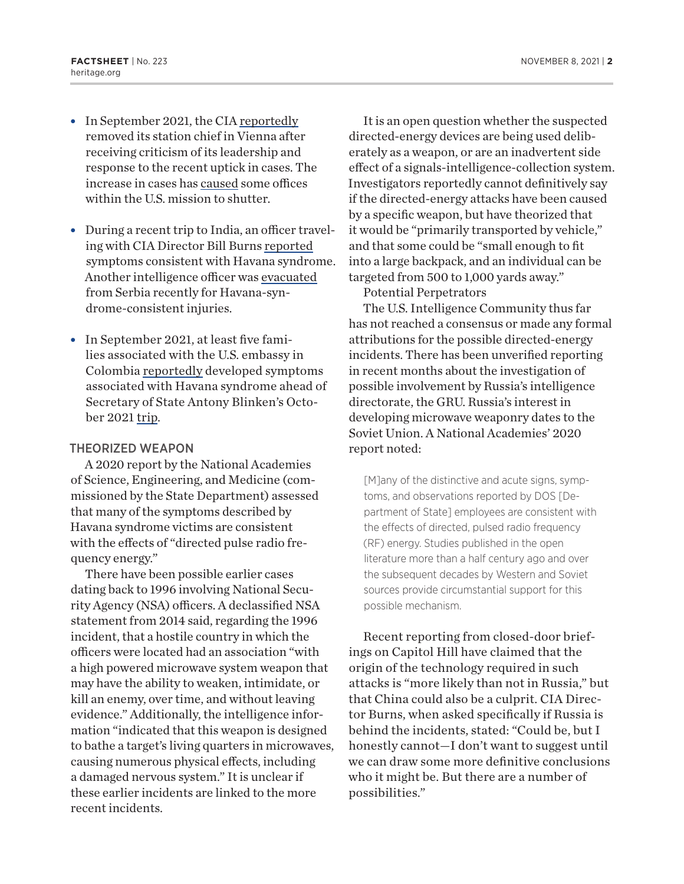- In September 2021, the CIA [reportedly](https://www.washingtonpost.com/national-security/cia-havana-syndrome-vienna/2021/09/23/cbc3bbbc-1c7f-11ec-914a-99d701398e5a_story.html) removed its station chief in Vienna after receiving criticism of its leadership and response to the recent uptick in cases. The increase in cases has [caused](https://www.washingtonpost.com/national-security/cia-havana-syndrome-vienna/2021/09/23/cbc3bbbc-1c7f-11ec-914a-99d701398e5a_story.html) some offices within the U.S. mission to shutter.
- During a recent trip to India, an officer traveling with CIA Director Bill Burns [reported](https://www.cbsnews.com/news/havana-syndrome-symptoms-cia-india/) symptoms consistent with Havana syndrome. Another intelligence officer was [evacuated](https://www.wsj.com/articles/havana-syndrome-attacks-widen-as-cia-officer-is-evacuated-from-serbia-11632844044) from Serbia recently for Havana-syndrome-consistent injuries.
- In September 2021, at least five families associated with the U.S. embassy in Colombia [reportedly](https://www.wsj.com/articles/u-s-embassy-staff-in-colombia-struck-with-havana-syndrome-ahead-of-blinken-visit-11634059681) developed symptoms associated with Havana syndrome ahead of Secretary of State Antony Blinken's October 2021 [trip](https://www.foxnews.com/politics/us-embassy-staff-in-colombia-suffering-from-havana-syndrome-ahead-of-blinkens-visit).

#### THEORIZED WEAPON

A 2020 [report](https://www.nap.edu/read/25889/chapter/1%22%20%5Cl%20%22ii) by the National Academies of Science, Engineering, and Medicine (commissioned by the State Department) assessed that many of the symptoms described by Havana syndrome victims are consistent with the effects of "directed pulse radio frequency energy."

There have been possible earlier cases dating back to [1996](https://www.washingtonexaminer.com/opinion/us-intelligence-grapples-nervous-system-attacks-russia) involving National Security Agency (NSA) officers. A declassified NSA [statement](https://www.theguardian.com/world/2021/may/02/havana-syndrome-nsa-officer-microwave-attacks-since-90s) from 2014 said, regarding the 1996 incident, that a [hostile country](https://www.theguardian.com/world/2021/may/02/havana-syndrome-nsa-officer-microwave-attacks-since-90s) in which the officers were located had an association "with a high powered microwave system weapon that may have the ability to weaken, intimidate, or kill an enemy, over time, and without leaving evidence." Additionally, the intelligence information "indicated that this weapon is designed to bathe a target's living quarters in microwaves, causing numerous physical effects, including a damaged nervous system." It is unclear if these earlier incidents are linked to the more recent incidents.

It is an open [question](https://www.pbs.org/newshour/show/cia-still-investigating-cause-of-havana-syndrome-ailments-affecting-u-s-diplomats) whether the suspected directed-energy devices are being used deliberately as a weapon, or are an [inadvertent side](https://www.pbs.org/newshour/show/cia-still-investigating-cause-of-havana-syndrome-ailments-affecting-u-s-diplomats)  [effect](https://www.pbs.org/newshour/show/cia-still-investigating-cause-of-havana-syndrome-ailments-affecting-u-s-diplomats) of a signals-intelligence-collection system. Investigators reportedly [cannot definitively](https://www.politico.com/news/2021/05/10/russia-gru-directed-energy-486640) say if the directed-energy attacks have been caused by a specific weapon, but have theorized that it would be "primarily transported by vehicle," and that some could be "small enough to fit into a large backpack, and an individual can be targeted from 500 to 1,000 yards away."

Potential Perpetrators

The [U.S. Intelligence Community](https://www.politico.com/news/2021/05/10/russia-gru-directed-energy-486640) thus far has not reached a consensus or made any formal attributions for the possible directed-energy incidents. There has been [unverified reporting](https://www.politico.com/news/2021/05/10/russia-gru-directed-energy-486640) in recent months about the investigation of possible involvement by Russia's intelligence directorate, the GRU. Russia's interest in developing microwave weaponry dates to the Soviet Union. A National Academies' 2020 [report](https://www.nap.edu/read/25889/chapter/1%22%20%5Cl%20%22ii) noted:

[M]any of the distinctive and acute signs, symptoms, and observations reported by DOS [Department of State] employees are consistent with the effects of directed, pulsed radio frequency (RF) energy. Studies published in the open literature more than a half century ago and over the subsequent decades by Western and Soviet sources provide circumstantial support for this possible mechanism.

Recent [reporting](https://www.politico.com/news/2021/04/22/troops-directed-energy-attacks-484246) from closed-door briefings on Capitol Hill have claimed that the origin of the technology required in such attacks is "more likely than not in Russia," but that [China](https://www.politico.com/news/2021/04/29/directed-energy-attack-probe-485086) could also be a culprit. CIA Director Burns, when asked specifically if Russia is behind the incidents, [stated](https://www.npr.org/2021/07/22/1017900583/transcript-nprs-full-conversation-with-cia-director-william-burns): "Could be, but I honestly cannot—I don't want to suggest until we can draw some more definitive conclusions who it might be. But there are a number of possibilities."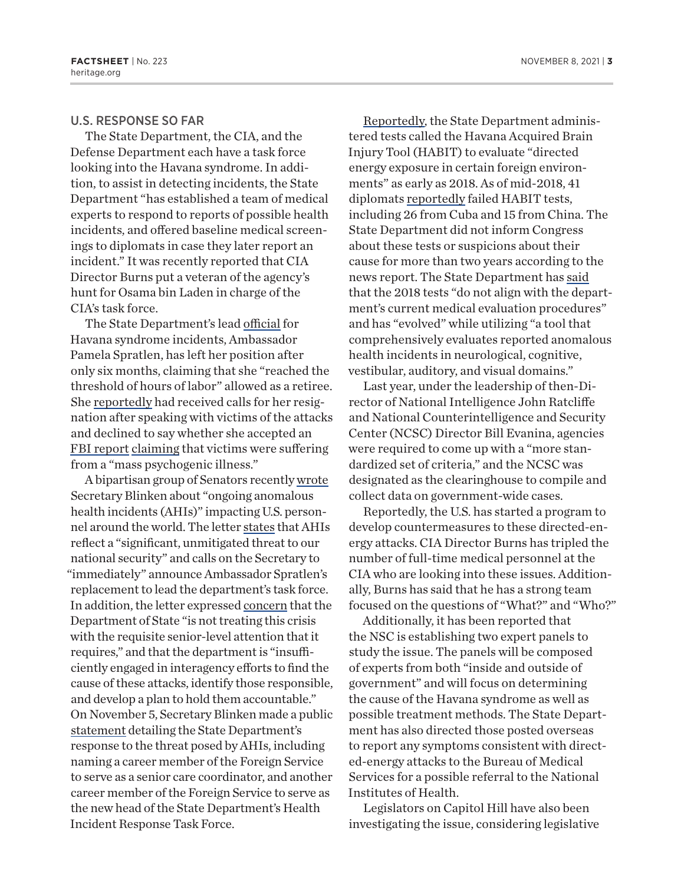#### U.S. RESPONSE SO FAR

The [State Department](https://www.state.gov/ambassador-pamela-spratlen-designated-as-senior-advisor-to-department-health-incident-response-task-force/), the [CIA](https://www.wsj.com/articles/havana-syndrome-task-force-to-be-led-by-a-veteran-of-hunt-for-bin-laden-11626885816), and the [Defense Department](https://www.cnn.com/2021/04/29/politics/us-investigating-mysterious-directed-energy-attack-white-house/index.html) each have a task force looking into the Havana syndrome. In addition, to assist in detecting incidents, the [State](https://wtop.com/government/2021/08/havana-syndrome-stokes-fear-and-frustration-among-diplomats-over-response-from-state-department/)  [Department](https://wtop.com/government/2021/08/havana-syndrome-stokes-fear-and-frustration-among-diplomats-over-response-from-state-department/) "has established a team of medical experts to respond to reports of possible health incidents, and offered baseline medical screenings to diplomats in case they later report an incident." It was recently reported that CIA Director Burns put a [veteran](https://www.wsj.com/articles/havana-syndrome-task-force-to-be-led-by-a-veteran-of-hunt-for-bin-laden-11626885816) of the agency's hunt for Osama bin Laden in charge of the CIA's [task force](https://www.nytimes.com/2021/03/04/us/politics/cia-havana-syndrome-mystery.html).

The State Department's lead [official](https://www.washingtonpost.com/national-security/cia-havana-syndrome-vienna/2021/09/23/cbc3bbbc-1c7f-11ec-914a-99d701398e5a_story.html) for Havana syndrome incidents, Ambassador Pamela Spratlen, has left her position after only six months, claiming that she "reached the threshold of hours of labor" allowed as a retiree. She [reportedly](https://www.nbcnews.com/politics/politics-news/diplomat-overseeing-havana-syndrome-response-out-after-6-months-n1279906) had received calls for her resignation after speaking with victims of the attacks and declined to say whether she accepted an [FBI report](https://www.nbcnews.com/politics/politics-news/diplomat-overseeing-havana-syndrome-response-out-after-6-months-n1279906) [claiming](https://www.newyorker.com/news/news-desk/vienna-is-the-new-havana-syndrome-hotspot) that victims were suffering from a "mass psychogenic illness."

A bipartisan group of Senators recently [wrote](https://drive.google.com/file/d/1FSd8UlxmmOBrBIzVedyvLwwv66iczNTR/view) Secretary Blinken about "ongoing anomalous health incidents (AHIs)" impacting U.S. personnel around the world. The letter [states](https://drive.google.com/file/d/1FSd8UlxmmOBrBIzVedyvLwwv66iczNTR/view) that AHIs reflect a "significant, unmitigated threat to our national security" and calls on the Secretary to "immediately" announce Ambassador Spratlen's replacement to lead the department's task force. In addition, the letter expressed [concern](https://drive.google.com/file/d/1FSd8UlxmmOBrBIzVedyvLwwv66iczNTR/view) that the Department of State "is not treating this crisis with the requisite senior-level attention that it requires," and that the department is "insufficiently engaged in interagency efforts to find the cause of these attacks, identify those responsible, and develop a plan to hold them accountable." On November 5, Secretary Blinken made a public [statement](https://www.state.gov/secretary-antony-j-blinken-on-the-departments-health-incidents-response-task-force/) detailing the State Department's response to the threat posed by AHIs, including naming a career member of the Foreign Service to serve as a senior care coordinator, and another career member of the Foreign Service to serve as the new head of the State Department's Health Incident Response Task Force.

[Reportedly,](https://www.politico.com/news/2021/10/25/state-department-2018-directed-energy-exposure-517055) the State Department administered tests called the Havana Acquired Brain Injury Tool (HABIT) to evaluate "directed energy exposure in certain foreign environments" as early as 2018. As of mid-2018, 41 diplomats [reportedly](https://www.politico.com/news/2021/10/25/state-department-2018-directed-energy-exposure-517055) failed HABIT tests, including 26 from Cuba and 15 from China. The State Department did not inform Congress about these tests or suspicions about their cause for more than two years according to the news report. The State Department has [said](https://www.politico.com/news/2021/10/25/state-department-2018-directed-energy-exposure-517055) that the 2018 tests "do not align with the department's current medical evaluation procedures" and has "evolved" while utilizing "a tool that comprehensively evaluates reported anomalous health incidents in neurological, cognitive, vestibular, auditory, and visual domains."

Last year, under the leadership of then-Director of National Intelligence John Ratcliffe and National Counterintelligence and Security Center (NCSC) Director Bill Evanina, agencies were [required](https://www.newyorker.com/magazine/2021/05/31/are-us-officials-under-silent-attack) to come up with a "more standardized set of criteria," and the NCSC was designated as the clearinghouse to compile and collect data on government-wide cases.

[Reportedly,](https://www.newyorker.com/magazine/2021/05/31/are-us-officials-under-silent-attack) the U.S. has started a program to develop countermeasures to these directed-energy attacks. CIA Director Burns has [tripled](https://www.npr.org/2021/07/22/1017900583/transcript-nprs-full-conversation-with-cia-director-william-burns) the number of full-time medical personnel at the CIA who are looking into these issues. Additionally, Burns has said that he has a [strong team](https://www.npr.org/2021/07/22/1017900583/transcript-nprs-full-conversation-with-cia-director-william-burns) focused on the questions of "What?" and "Who?"

Additionally, it has been [reported](https://www.nap.edu/read/25889/chapter/1%22%20%5Cl%20%22ii) that the NSC is establishing two expert panels to study the issue. The panels will be composed of experts from both "inside and outside of government" and will focus on determining the cause of the Havana syndrome as well as possible treatment methods. The State Department has also [directed](https://www.politico.com/news/2021/06/04/state-department-nih-directed-energy-attacks-victims-491900) those posted overseas to report any symptoms consistent with directed-energy attacks to the Bureau of Medical Services for a possible referral to the National Institutes of Health.

Legislators on Capitol Hill have also been investigating the issue, considering legislative